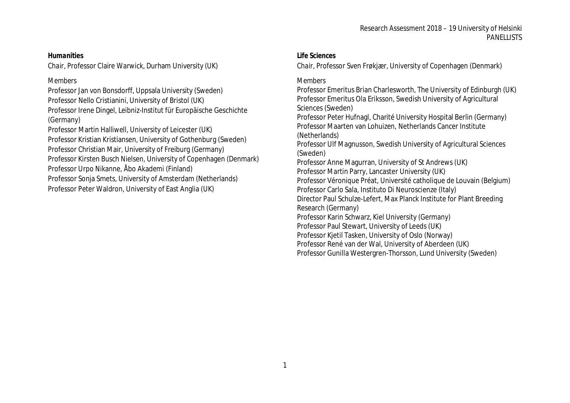#### Research Assessment 2018 – 19 University of Helsinki **PANELLISTS**

#### *Humanities*

*Chair,* Professor Claire Warwick, Durham University (UK)

# *Members*

Professor Jan von Bonsdorff, Uppsala University (Sweden) Professor Nello Cristianini, University of Bristol (UK) Professor Irene Dingel, Leibniz-Institut für Europäische Geschichte (Germany)

Professor Martin Halliwell, University of Leicester (UK) Professor Kristian Kristiansen, University of Gothenburg (Sweden) Professor Christian Mair, University of Freiburg (Germany) Professor Kirsten Busch Nielsen, University of Copenhagen (Denmark) Professor Urpo Nikanne, Åbo Akademi (Finland) Professor Sonja Smets, University of Amsterdam (Netherlands) Professor Peter Waldron, University of East Anglia (UK)

### *Life Sciences*

*Chair,* Professor Sven Frøkjær, University of Copenhagen (Denmark)

# *Members*

Professor Emeritus Brian Charlesworth, The University of Edinburgh (UK) Professor Emeritus Ola Eriksson, Swedish University of Agricultural Sciences (Sweden) Professor Peter Hufnagl, Charité University Hospital Berlin (Germany) Professor Maarten van Lohuizen, Netherlands Cancer Institute (Netherlands) Professor Ulf Magnusson, Swedish University of Agricultural Sciences (Sweden) Professor Anne Magurran, University of St Andrews (UK) Professor Martin Parry, Lancaster University (UK) Professor Véronique Préat, Université catholique de Louvain (Belgium) Professor Carlo Sala, Instituto Di Neuroscienze (Italy) Director Paul Schulze-Lefert, Max Planck Institute for Plant Breeding

Research (Germany)

Professor Karin Schwarz, Kiel University (Germany)

Professor Paul Stewart, University of Leeds (UK)

Professor Kjetil Tasken, University of Oslo (Norway)

Professor René van der Wal, University of Aberdeen (UK)

Professor Gunilla Westergren-Thorsson, Lund University (Sweden)